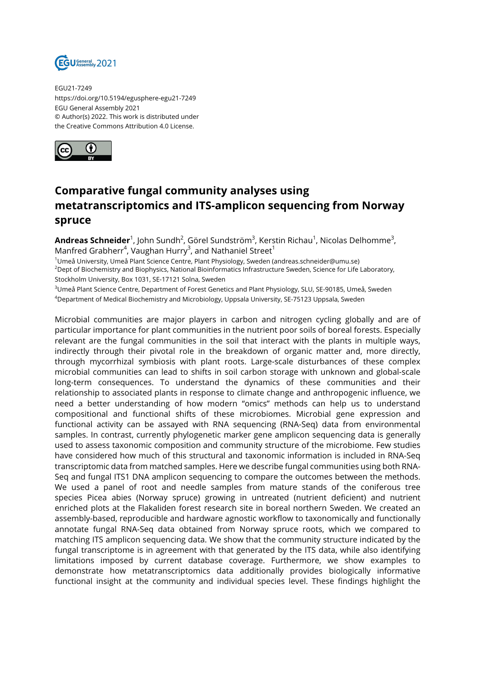

EGU21-7249 https://doi.org/10.5194/egusphere-egu21-7249 EGU General Assembly 2021 © Author(s) 2022. This work is distributed under the Creative Commons Attribution 4.0 License.



## **Comparative fungal community analyses using metatranscriptomics and ITS-amplicon sequencing from Norway spruce**

**Andreas Schneider**<sup>1</sup>, John Sundh<sup>2</sup>, Görel Sundström<sup>3</sup>, Kerstin Richau<sup>1</sup>, Nicolas Delhomme<sup>3</sup>, Manfred Grabherr<sup>4</sup>, Vaughan Hurry<sup>3</sup>, and Nathaniel Street<sup>1</sup>

<sup>1</sup>Umeå University, Umeå Plant Science Centre, Plant Physiology, Sweden (andreas.schneider@umu.se) <sup>2</sup>Dept of Biochemistry and Biophysics, National Bioinformatics Infrastructure Sweden, Science for Life Laboratory, Stockholm University, Box 1031, SE-17121 Solna, Sweden

<sup>3</sup>Umeå Plant Science Centre, Department of Forest Genetics and Plant Physiology, SLU, SE-90185, Umeå, Sweden <sup>4</sup>Department of Medical Biochemistry and Microbiology, Uppsala University, SE-75123 Uppsala, Sweden

Microbial communities are major players in carbon and nitrogen cycling globally and are of particular importance for plant communities in the nutrient poor soils of boreal forests. Especially relevant are the fungal communities in the soil that interact with the plants in multiple ways, indirectly through their pivotal role in the breakdown of organic matter and, more directly, through mycorrhizal symbiosis with plant roots. Large-scale disturbances of these complex microbial communities can lead to shifts in soil carbon storage with unknown and global-scale long-term consequences. To understand the dynamics of these communities and their relationship to associated plants in response to climate change and anthropogenic influence, we need a better understanding of how modern "omics" methods can help us to understand compositional and functional shifts of these microbiomes. Microbial gene expression and functional activity can be assayed with RNA sequencing (RNA-Seq) data from environmental samples. In contrast, currently phylogenetic marker gene amplicon sequencing data is generally used to assess taxonomic composition and community structure of the microbiome. Few studies have considered how much of this structural and taxonomic information is included in RNA-Seq transcriptomic data from matched samples. Here we describe fungal communities using both RNA-Seq and fungal ITS1 DNA amplicon sequencing to compare the outcomes between the methods. We used a panel of root and needle samples from mature stands of the coniferous tree species Picea abies (Norway spruce) growing in untreated (nutrient deficient) and nutrient enriched plots at the Flakaliden forest research site in boreal northern Sweden. We created an assembly-based, reproducible and hardware agnostic workflow to taxonomically and functionally annotate fungal RNA-Seq data obtained from Norway spruce roots, which we compared to matching ITS amplicon sequencing data. We show that the community structure indicated by the fungal transcriptome is in agreement with that generated by the ITS data, while also identifying limitations imposed by current database coverage. Furthermore, we show examples to demonstrate how metatranscriptomics data additionally provides biologically informative functional insight at the community and individual species level. These findings highlight the